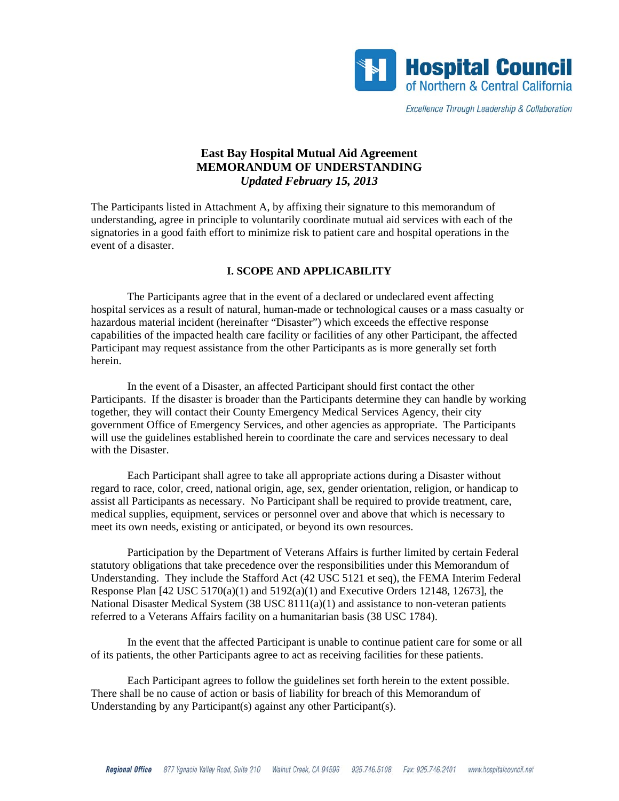

Excellence Through Leadership & Collaboration

# **East Bay Hospital Mutual Aid Agreement MEMORANDUM OF UNDERSTANDING**  *Updated February 15, 2013*

The Participants listed in Attachment A, by affixing their signature to this memorandum of understanding, agree in principle to voluntarily coordinate mutual aid services with each of the signatories in a good faith effort to minimize risk to patient care and hospital operations in the event of a disaster.

#### **I. SCOPE AND APPLICABILITY**

 The Participants agree that in the event of a declared or undeclared event affecting hospital services as a result of natural, human-made or technological causes or a mass casualty or hazardous material incident (hereinafter "Disaster") which exceeds the effective response capabilities of the impacted health care facility or facilities of any other Participant, the affected Participant may request assistance from the other Participants as is more generally set forth herein.

 In the event of a Disaster, an affected Participant should first contact the other Participants. If the disaster is broader than the Participants determine they can handle by working together, they will contact their County Emergency Medical Services Agency, their city government Office of Emergency Services, and other agencies as appropriate. The Participants will use the guidelines established herein to coordinate the care and services necessary to deal with the Disaster.

 Each Participant shall agree to take all appropriate actions during a Disaster without regard to race, color, creed, national origin, age, sex, gender orientation, religion, or handicap to assist all Participants as necessary. No Participant shall be required to provide treatment, care, medical supplies, equipment, services or personnel over and above that which is necessary to meet its own needs, existing or anticipated, or beyond its own resources.

 Participation by the Department of Veterans Affairs is further limited by certain Federal statutory obligations that take precedence over the responsibilities under this Memorandum of Understanding. They include the Stafford Act (42 USC 5121 et seq), the FEMA Interim Federal Response Plan  $[42 \text{ USC } 5170(a)(1)$  and  $5192(a)(1)$  and Executive Orders 12148, 12673], the National Disaster Medical System (38 USC 8111(a)(1) and assistance to non-veteran patients referred to a Veterans Affairs facility on a humanitarian basis (38 USC 1784).

 In the event that the affected Participant is unable to continue patient care for some or all of its patients, the other Participants agree to act as receiving facilities for these patients.

 Each Participant agrees to follow the guidelines set forth herein to the extent possible. There shall be no cause of action or basis of liability for breach of this Memorandum of Understanding by any Participant(s) against any other Participant(s).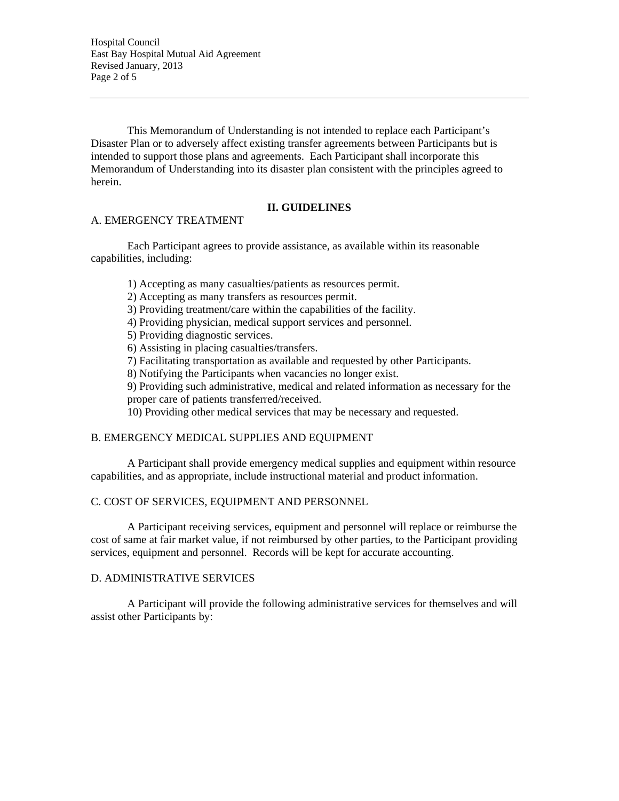Hospital Council East Bay Hospital Mutual Aid Agreement Revised January, 2013 Page 2 of 5

 This Memorandum of Understanding is not intended to replace each Participant's Disaster Plan or to adversely affect existing transfer agreements between Participants but is intended to support those plans and agreements. Each Participant shall incorporate this Memorandum of Understanding into its disaster plan consistent with the principles agreed to herein.

## **II. GUIDELINES**

#### A. EMERGENCY TREATMENT

 Each Participant agrees to provide assistance, as available within its reasonable capabilities, including:

1) Accepting as many casualties/patients as resources permit.

- 2) Accepting as many transfers as resources permit.
- 3) Providing treatment/care within the capabilities of the facility.

4) Providing physician, medical support services and personnel.

5) Providing diagnostic services.

6) Assisting in placing casualties/transfers.

7) Facilitating transportation as available and requested by other Participants.

8) Notifying the Participants when vacancies no longer exist.

9) Providing such administrative, medical and related information as necessary for the

proper care of patients transferred/received.

10) Providing other medical services that may be necessary and requested.

#### B. EMERGENCY MEDICAL SUPPLIES AND EQUIPMENT

 A Participant shall provide emergency medical supplies and equipment within resource capabilities, and as appropriate, include instructional material and product information.

#### C. COST OF SERVICES, EQUIPMENT AND PERSONNEL

 A Participant receiving services, equipment and personnel will replace or reimburse the cost of same at fair market value, if not reimbursed by other parties, to the Participant providing services, equipment and personnel. Records will be kept for accurate accounting.

### D. ADMINISTRATIVE SERVICES

 A Participant will provide the following administrative services for themselves and will assist other Participants by: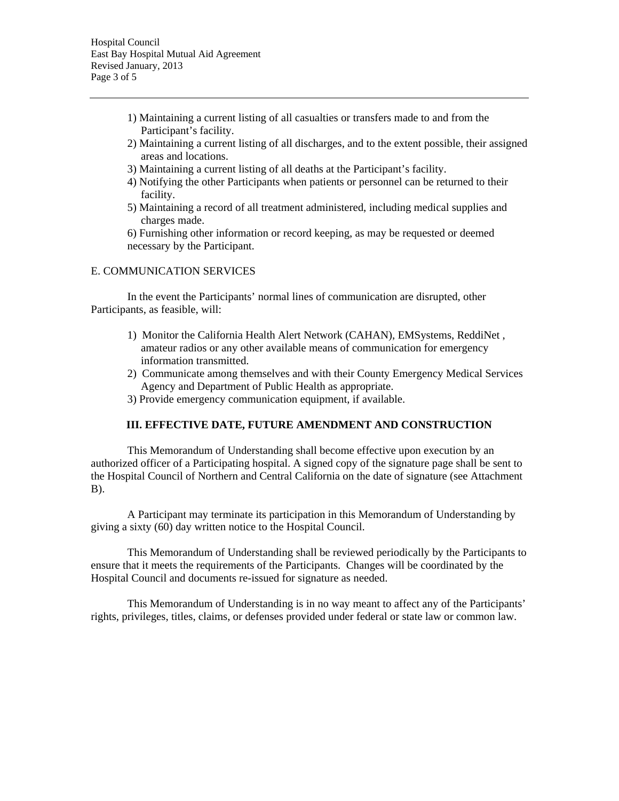- 1) Maintaining a current listing of all casualties or transfers made to and from the Participant's facility.
- 2) Maintaining a current listing of all discharges, and to the extent possible, their assigned areas and locations.
- 3) Maintaining a current listing of all deaths at the Participant's facility.
- 4) Notifying the other Participants when patients or personnel can be returned to their facility.
- 5) Maintaining a record of all treatment administered, including medical supplies and charges made.

6) Furnishing other information or record keeping, as may be requested or deemed necessary by the Participant.

#### E. COMMUNICATION SERVICES

 In the event the Participants' normal lines of communication are disrupted, other Participants, as feasible, will:

- 1) Monitor the California Health Alert Network (CAHAN), EMSystems, ReddiNet , amateur radios or any other available means of communication for emergency information transmitted.
- 2) Communicate among themselves and with their County Emergency Medical Services Agency and Department of Public Health as appropriate.
- 3) Provide emergency communication equipment, if available.

### **III. EFFECTIVE DATE, FUTURE AMENDMENT AND CONSTRUCTION**

 This Memorandum of Understanding shall become effective upon execution by an authorized officer of a Participating hospital. A signed copy of the signature page shall be sent to the Hospital Council of Northern and Central California on the date of signature (see Attachment B).

 A Participant may terminate its participation in this Memorandum of Understanding by giving a sixty (60) day written notice to the Hospital Council.

 This Memorandum of Understanding shall be reviewed periodically by the Participants to ensure that it meets the requirements of the Participants. Changes will be coordinated by the Hospital Council and documents re-issued for signature as needed.

 This Memorandum of Understanding is in no way meant to affect any of the Participants' rights, privileges, titles, claims, or defenses provided under federal or state law or common law.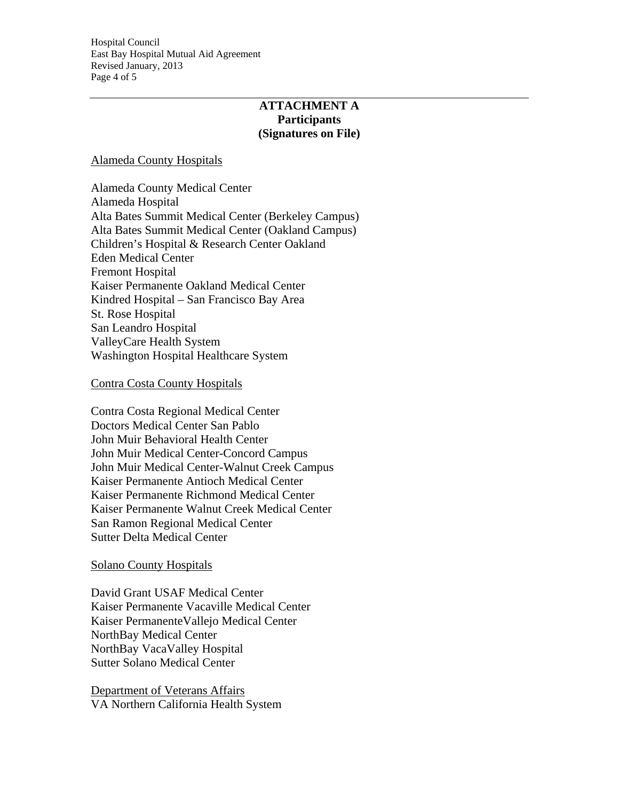Hospital Council East Bay Hospital Mutual Aid Agreement Revised January, 2013 Page 4 of 5

# **ATTACHMENT A Participants (Signatures on File)**

## Alameda County Hospitals

Alameda County Medical Center Alameda Hospital Alta Bates Summit Medical Center (Berkeley Campus) Alta Bates Summit Medical Center (Oakland Campus) Children's Hospital & Research Center Oakland Eden Medical Center Fremont Hospital Kaiser Permanente Oakland Medical Center Kindred Hospital – San Francisco Bay Area St. Rose Hospital San Leandro Hospital ValleyCare Health System Washington Hospital Healthcare System

### Contra Costa County Hospitals

Contra Costa Regional Medical Center Doctors Medical Center San Pablo John Muir Behavioral Health Center John Muir Medical Center-Concord Campus John Muir Medical Center-Walnut Creek Campus Kaiser Permanente Antioch Medical Center Kaiser Permanente Richmond Medical Center Kaiser Permanente Walnut Creek Medical Center San Ramon Regional Medical Center Sutter Delta Medical Center

## Solano County Hospitals

David Grant USAF Medical Center Kaiser Permanente Vacaville Medical Center Kaiser PermanenteVallejo Medical Center NorthBay Medical Center NorthBay VacaValley Hospital Sutter Solano Medical Center

Department of Veterans Affairs VA Northern California Health System